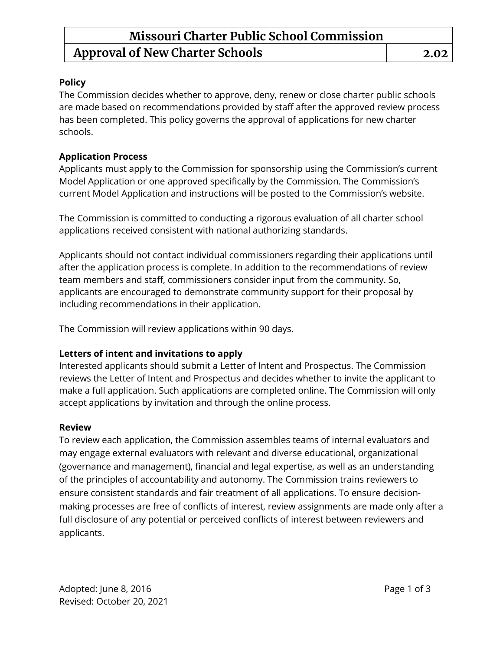### **Missouri Charter Public School Commission Approval of New Charter Schools 2.02**

### **Policy**

The Commission decides whether to approve, deny, renew or close charter public schools are made based on recommendations provided by staff after the approved review process has been completed. This policy governs the approval of applications for new charter schools.

### **Application Process**

Applicants must apply to the Commission for sponsorship using the Commission's current Model Application or one approved specifically by the Commission. The Commission's current Model Application and instructions will be posted to the Commission's website.

The Commission is committed to conducting a rigorous evaluation of all charter school applications received consistent with national authorizing standards.

Applicants should not contact individual commissioners regarding their applications until after the application process is complete. In addition to the recommendations of review team members and staff, commissioners consider input from the community. So, applicants are encouraged to demonstrate community support for their proposal by including recommendations in their application.

The Commission will review applications within 90 days.

### **Letters of intent and invitations to apply**

Interested applicants should submit a Letter of Intent and Prospectus. The Commission reviews the Letter of Intent and Prospectus and decides whether to invite the applicant to make a full application. Such applications are completed online. The Commission will only accept applications by invitation and through the online process.

#### **Review**

To review each application, the Commission assembles teams of internal evaluators and may engage external evaluators with relevant and diverse educational, organizational (governance and management), financial and legal expertise, as well as an understanding of the principles of accountability and autonomy. The Commission trains reviewers to ensure consistent standards and fair treatment of all applications. To ensure decisionmaking processes are free of conflicts of interest, review assignments are made only after a full disclosure of any potential or perceived conflicts of interest between reviewers and applicants.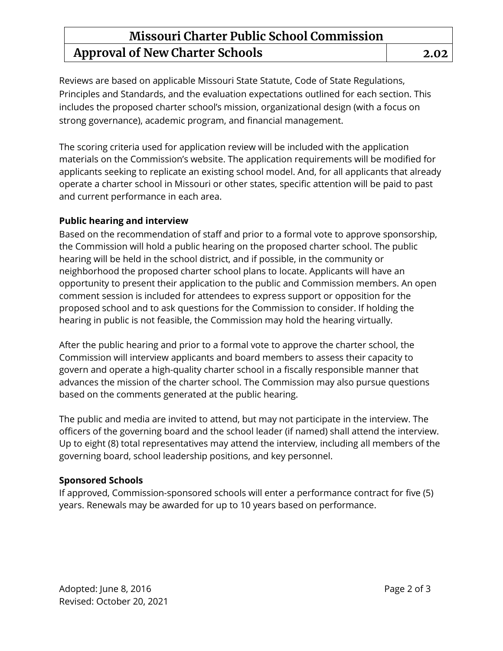# **Missouri Charter Public School Commission Approval of New Charter Schools 2.02**

Reviews are based on applicable Missouri State Statute, Code of State Regulations, Principles and Standards, and the evaluation expectations outlined for each section. This includes the proposed charter school's mission, organizational design (with a focus on strong governance), academic program, and financial management.

The scoring criteria used for application review will be included with the application materials on the Commission's website. The application requirements will be modified for applicants seeking to replicate an existing school model. And, for all applicants that already operate a charter school in Missouri or other states, specific attention will be paid to past and current performance in each area.

### **Public hearing and interview**

Based on the recommendation of staff and prior to a formal vote to approve sponsorship, the Commission will hold a public hearing on the proposed charter school. The public hearing will be held in the school district, and if possible, in the community or neighborhood the proposed charter school plans to locate. Applicants will have an opportunity to present their application to the public and Commission members. An open comment session is included for attendees to express support or opposition for the proposed school and to ask questions for the Commission to consider. If holding the hearing in public is not feasible, the Commission may hold the hearing virtually.

After the public hearing and prior to a formal vote to approve the charter school, the Commission will interview applicants and board members to assess their capacity to govern and operate a high-quality charter school in a fiscally responsible manner that advances the mission of the charter school. The Commission may also pursue questions based on the comments generated at the public hearing.

The public and media are invited to attend, but may not participate in the interview. The officers of the governing board and the school leader (if named) shall attend the interview. Up to eight (8) total representatives may attend the interview, including all members of the governing board, school leadership positions, and key personnel.

### **Sponsored Schools**

If approved, Commission-sponsored schools will enter a performance contract for five (5) years. Renewals may be awarded for up to 10 years based on performance.